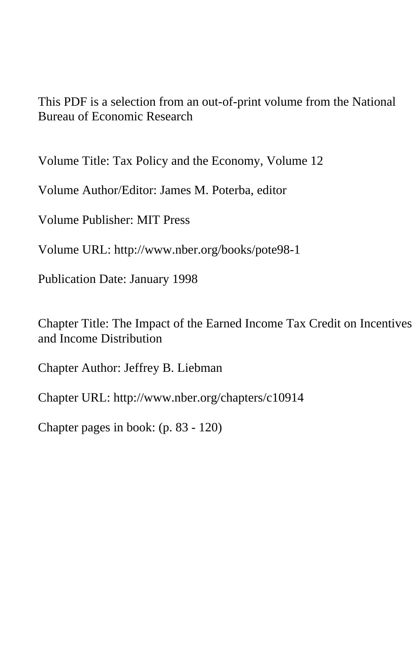This PDF is a selection from an out-of-print volume from the National Bureau of Economic Research

Volume Title: Tax Policy and the Economy, Volume 12

Volume Author/Editor: James M. Poterba, editor

Volume Publisher: MIT Press

Volume URL: http://www.nber.org/books/pote98-1

Publication Date: January 1998

Chapter Title: The Impact of the Earned Income Tax Credit on Incentives and Income Distribution

Chapter Author: Jeffrey B. Liebman

Chapter URL: http://www.nber.org/chapters/c10914

Chapter pages in book: (p. 83 - 120)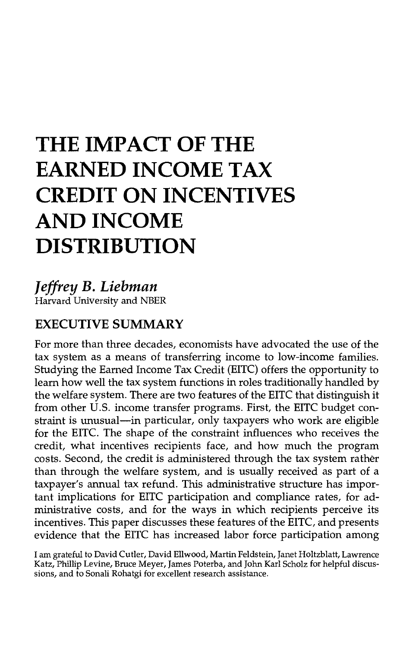# THE IMPACT OF THE EARNED INCOME TAX CREDIT ON INCENTIVES AND INCOME DISTRIBUTION

# Jeffrey B. Liebman

Harvard University and NBER

# EXECUTIVE SUMMARY

For more than three decades, economists have advocated the use of the tax system as a means of transferring income to low-income families. Studying the Earned Income Tax Credit (EITC) offers the opportunity to learn how well the tax system functions in roles traditionally handled by the welfare system. There are two features of the EITC that distinguish it from other U.S. income transfer programs. First, the EITC budget constraint is unusual-in particular, only taxpayers who work are eligible for the EITC. The shape of the constraint influences who receives the credit, what incentives recipients face, and how much the program costs. Second, the credit is administered through the tax system rather than through the welfare system, and is usually received as part of a taxpayer's annual tax refund. This administrative structure has important implications for EITC participation and compliance rates, for administrative costs, and for the ways in which recipients perceive its incentives. This paper discusses these features of the EITC, and presents evidence that the EITC has increased labor force participation among

I am grateful to David Cutler, David Ellwood, Martin Feldstein, Janet Holtzblatt, Lawrence Katz, Phillip Levine, Bruce Meyer, James Poterba, and John Karl Scholz for helpful discussions, and to Sonali Rohatgi for excellent research assistance.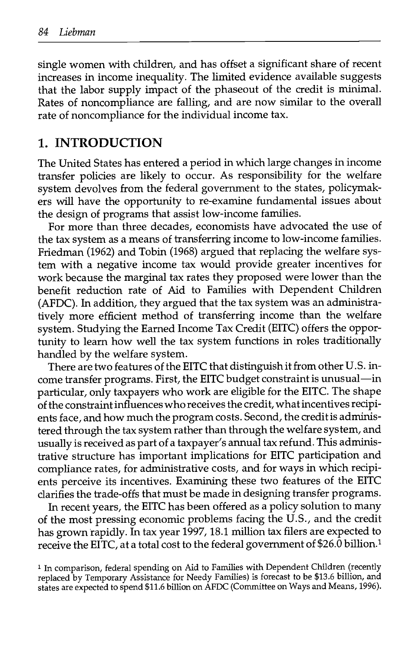single women with children, and has offset a significant share of recent increases in income inequality. The limited evidence available suggests that the labor supply impact of the phaseout of the credit is minimal. Rates of noncompliance are falling, and are now similar to the overall rate of noncompliance for the individual income tax.

## 1. INTRODUCTION

The United States has entered a period in which large changes in income transfer policies are likely to occur. As responsibility for the welfare system devolves from the federal government to the states, policymakers wifi have the opportunity to re-examine fundamental issues about the design of programs that assist low-income families.

For more than three decades, economists have advocated the use of the tax system as a means of transferring income to low-income families. Friedman (1962) and Tobin (1968) argued that replacing the welfare system with a negative income tax would provide greater incentives for work because the marginal tax rates they proposed were lower than the benefit reduction rate of Aid to Families with Dependent Children (AFDC). In addition, they argued that the tax system was an administratively more efficient method of transferring income than the welfare system. Studying the Earned Income Tax Credit (EITC) offers the opportunity to learn how well the tax system functions in roles traditionally handled by the welfare system.

There are two features of the EITC that distinguish it from other U.S. income transfer programs. First, the EITC budget constraint is unusual-in particular, only taxpayers who work are eligible for the EITC. The shape of the constraint influences who receives the credit, what incentives recipients face, and how much the program costs. Second, the credit is administered through the tax system rather than through the welfare system, and usually is received as part of a taxpayer's annual tax refund. This administrative structure has important implications for EITC participation and compliance rates, for administrative costs, and for ways in which recipients perceive its incentives. Examining these two features of the EITC clarifies the trade-offs that must be made in designing transfer programs.

In recent years, the EITC has been offered as a policy solution to many of the most pressing economic problems facing the U.S., and the credit has grown rapidly. In tax year 1997, 18.1 million tax filers are expected to receive the EITC, at a total cost to the federal government of \$26.0 billion.<sup>1</sup>

<sup>&</sup>lt;sup>1</sup> In comparison, federal spending on Aid to Families with Dependent Children (recently replaced by Temporary Assistance for Needy Families) is forecast to be \$13.6 billion, and states are expected to spend \$11.6 billion on AFDC (Committee on Ways and Means, 1996).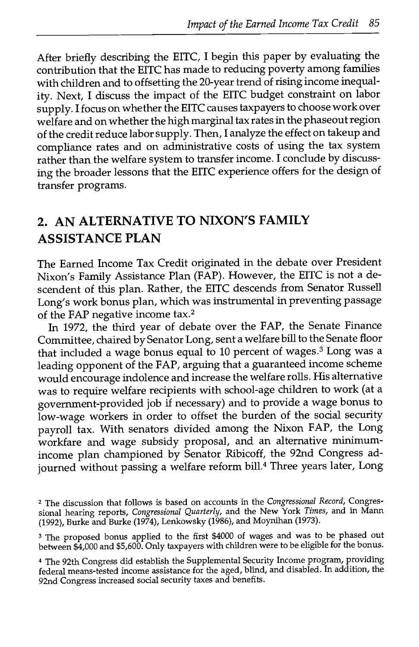After briefly describing the EITC, I begin this paper by evaluating the contribution that the EITC has made to reducing poverty among families with children and to offsetting the 20-year trend of rising income inequality. Next, I discuss the impact of the EITC budget constraint on labor supply. I focus on whether the EITC causes taxpayers to choose work over welfare and on whether the high marginal tax rates in the phaseout region of the credit reduce labor supply. Then, I analyze the effect on takeup and compliance rates and on administrative costs of using the tax system rather than the welfare system to transfer income. I conclude by discussing the broader lessons that the EITC experience offers for the design of transfer programs.

# 2. AN ALTERNATIVE TO NIXON'S FAMILY ASSISTANCE PLAN

The Earned Income Tax Credit originated in the debate over President Nixon's Family Assistance Plan (FAP). However, the EITC is not a descendent of this plan. Rather, the EITC descends from Senator Russell Long's work bonus plan, which was instrumental in preventing passage of the FAP negative income tax.2

In 1972, the third year of debate over the FAP, the Senate Finance Committee, chaired by Senator Long, sent a welfare bill to the Senate floor that included a wage bonus equal to 10 percent of wages.3 Long was a leading opponent of the FAP, arguing that a guaranteed income scheme would encourage indolence and increase the welfare rolls. His alternative was to require welfare recipients with school-age children to work (at a government-provided job if necessary) and to provide a wage bonus to low-wage workers in order to offset the burden of the social security payroll tax. With senators divided among the Nixon FAP, the Long workfare and wage subsidy proposal, and an alternative minimumincome plan championed by Senator Ribicoff, the 92nd Congress adjourned without passing a welfare reform bill.4 Three years later, Long

<sup>&</sup>lt;sup>2</sup> The discussion that follows is based on accounts in the Congressional Record, Congressional hearing reports, Congressional Quarterly, and the New York Times, and in Mann (1992), Burke and Burke (1974), Lenkowsky (1986), and Moynihan (1973).

<sup>&</sup>lt;sup>3</sup> The proposed bonus applied to the first \$4000 of wages and was to be phased out between \$4,000 and \$5,600. Only taxpayers with children were to be eligible for the bonus.

<sup>&#</sup>x27; The 92th Congress did establish the Supplemental Security Income program, providing federal means-tested income assistance for the aged, blind, and disabled. In addition, the 92nd Congress increased social security taxes and benefits.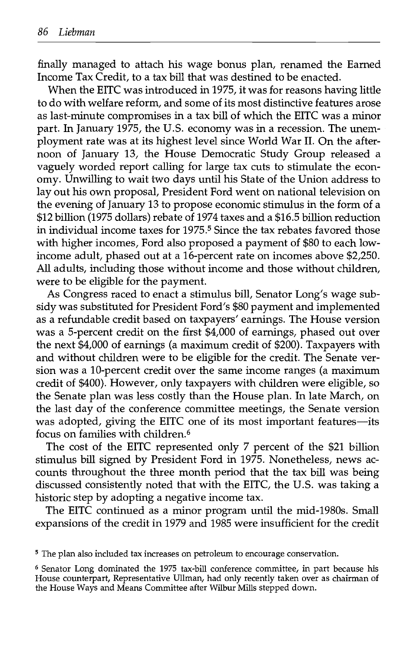finally managed to attach his wage bonus plan, renamed the Earned Income Tax Credit, to a tax bill that was destined to be enacted.

When the EITC was introduced in 1975, it was for reasons having little to do with welfare reform, and some of its most distinctive features arose as last-minute compromises in a tax bill of which the EITC was a minor part. In January 1975, the U.S. economy was in a recession. The unemployment rate was at its highest level since World War II. On the afternoon of January 13, the House Democratic Study Group released a vaguely worded report calling for large tax cuts to stimulate the economy. Unwilling to wait two days until his State of the Union address to lay out his own proposal, President Ford went on national television on the evening of January 13 to propose economic stimulus in the form of a \$12 billion (1975 dollars) rebate of 1974 taxes and a \$16.5 billion reduction in individual income taxes for 1975.<sup>5</sup> Since the tax rebates favored those with higher incomes, Ford also proposed a payment of \$80 to each lowincome adult, phased out at a 16-percent rate on incomes above \$2,250. All adults, including those without income and those without children, were to be eligible for the payment.

As Congress raced to enact a stimulus bill, Senator Long's wage subsidy was substituted for President Ford's \$80 payment and implemented as a refundable credit based on taxpayers' earnings. The House version was a 5-percent credit on the first \$4,000 of earnings, phased out over the next \$4,000 of earnings (a maximum credit of \$200). Taxpayers with and without children were to be eligible for the credit. The Senate version was a 10-percent credit over the same income ranges (a maximum credit of \$400). However, only taxpayers with children were eligible, so the Senate plan was less costly than the House plan. In late March, on the last day of the conference committee meetings, the Senate version was adopted, giving the EITC one of its most important features-its focus on families with children.6

The cost of the EITC represented only 7 percent of the \$21 billion stimulus bill signed by President Ford in 1975. Nonetheless, news accounts throughout the three month period that the tax bill was being discussed consistently noted that with the EITC, the U.S. was taking a historic step by adopting a negative income tax.

The EITC continued as a minor program until the mid-1980s. Small expansions of the credit in 1979 and 1985 were insufficient for the credit

<sup>&</sup>lt;sup>5</sup> The plan also included tax increases on petroleum to encourage conservation.

<sup>6</sup> Senator Long dominated the 1975 tax-bill conference committee, in part because his House counterpart, Representative Ullman, had only recently taken over as chairman of the House Ways and Means Committee after Wilbur Mifis stepped down.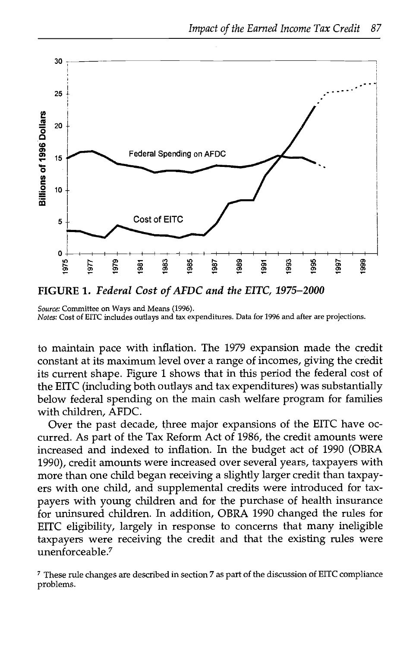

FIGURE 1. Federal Cost of AFDC and the EITC, 1975-2000

Source: Committee on Ways and Means (1996). Notes: Cost of EITC includes outlays and tax expenditures. Data for 1996 and after are projections.

to maintain pace with inflation. The 1979 expansion made the credit constant at its maximum level over a range of incomes, giving the credit its current shape. Figure 1 shows that in this period the federal cost of the EITC (including both outlays and tax expenditures) was substantially below federal spending on the main cash welfare program for families with children, AFDC.

Over the past decade, three major expansions of the EITC have occurred. As part of the Tax Reform Act of 1986, the credit amounts were increased and indexed to inflation. In the budget act of 1990 (OBRA 1990), credit amounts were increased over several years, taxpayers with more than one child began receiving a slightly larger credit than taxpayers with one child, and supplemental credits were introduced for taxpayers with young children and for the purchase of health insurance for uninsured children. In addition, OBRA 1990 changed the rules for EITC eligibility, largely in response to concerns that many ineligible taxpayers were receiving the credit and that the existing rules were unenforceable.7

These rule changes are described in section 7 as part of the discussion of EITC compliance problems.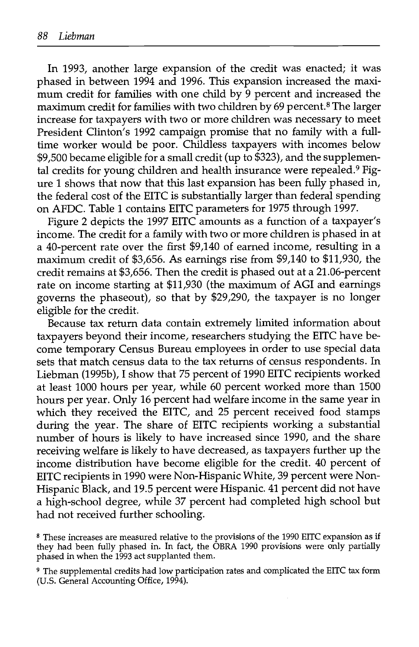In 1993, another large expansion of the credit was enacted; it was phased in between 1994 and 1996. This expansion increased the maximum credit for families with one child by 9 percent and increased the maximum credit for families with two children by 69 percent.8 The larger increase for taxpayers with two or more children was necessary to meet President Clinton's 1992 campaign promise that no family with a fulltime worker would be poor. Childless taxpayers with incomes below \$9,500 became eligible for a small credit (up to \$323), and the supplemental credits for young children and health insurance were repealed.<sup>9</sup> Figure 1 shows that now that this last expansion has been fully phased in, the federal cost of the EITC is substantially larger than federal spending on AFDC. Table 1 contains EITC parameters for 1975 through 1997.

Figure 2 depicts the 1997 EITC amounts as a function of a taxpayer's income. The credit for a family with two or more children is phased in at a 40-percent rate over the first \$9,140 of earned income, resulting in a maximum credit of \$3,656. As earnings rise from \$9,140 to \$11,930, the credit remains at \$3,656. Then the credit is phased out at a 21.06-percent rate on income starting at \$11,930 (the maximum of AGI and earnings governs the phaseout), so that by \$29,290, the taxpayer is no longer eligible for the credit.

Because tax return data contain extremely limited information about taxpayers beyond their income, researchers studying the EITC have become temporary Census Bureau employees in order to use special data sets that match census data to the tax returns of census respondents. In Liebman (1995b), I show that 75 percent of 1990 EITC recipients worked at least 1000 hours per year, while 60 percent worked more than 1500 hours per year. Only 16 percent had welfare income in the same year in which they received the EITC, and 25 percent received food stamps during the year. The share of EITC recipients working a substantial number of hours is likely to have increased since 1990, and the share receiving welfare is likely to have decreased, as taxpayers further up the income distribution have become eligible for the credit. 40 percent of EITC recipients in 1990 were Non-Hispanic White, 39 percent were Non-Hispanic Black, and 19.5 percent were Hispanic. 41 percent did not have a high-school degree, while 37 percent had completed high school but had not received further schooling.

These increases are measured relative to the provisions of the 1990 EITC expansion as if they had been fully phased in. In fact, the OBRA 1990 provisions were only partially phased in when the 1993 act supplanted them.

<sup>&</sup>lt;sup>9</sup> The supplemental credits had low participation rates and complicated the EITC tax form (U.S. General Accounting Office, 1994).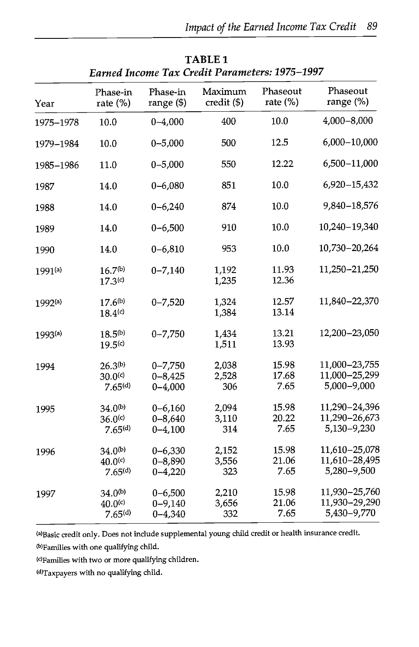| Year                | Phase-in<br>rate $(\%)$                                    | Phase-in<br>range $(\$)$                  | Maximum<br>credit (\$) | Phaseout<br>rate (%)   | Phaseout<br>range (%)                         |
|---------------------|------------------------------------------------------------|-------------------------------------------|------------------------|------------------------|-----------------------------------------------|
| 1975-1978           | 10.0                                                       | $0 - 4,000$                               | 400                    | 10.0                   | 4,000-8,000                                   |
| 1979-1984           | 10.0                                                       | $0 - 5,000$                               | 500                    | 12.5                   | 6,000-10,000                                  |
| 1985-1986           | 11.0                                                       | $0 - 5,000$                               | 550                    | 12.22                  | 6,500-11,000                                  |
| 1987                | 14.0                                                       | $0 - 6,080$                               | 851                    | 10.0                   | 6,920 - 15,432                                |
| 1988                | 14.0                                                       | $0 - 6,240$                               | 874                    | 10.0                   | 9,840-18,576                                  |
| 1989                | 14.0                                                       | $0 - 6,500$                               | 910                    | 10.0                   | 10,240-19,340                                 |
| 1990                | 14.0                                                       | $0 - 6,810$                               | 953                    | 10.0                   | 10,730-20,264                                 |
| 1991 <sup>(a)</sup> | 16.7 <sup>(b)</sup><br>17.3 <sup>(c)</sup>                 | $0 - 7,140$                               | 1,192<br>1,235         | 11.93<br>12.36         | 11,250-21,250                                 |
| 1992(a)             | $17.6^{(b)}$<br>18.4 <sup>(c)</sup>                        | $0 - 7,520$                               | 1,324<br>1,384         | 12.57<br>13.14         | 11,840-22,370                                 |
| 1993 <sup>(a)</sup> | $18.5^{(b)}$<br>19.5 <sup>(c)</sup>                        | $0 - 7,750$                               | 1,434<br>1,511         | 13.21<br>13.93         | 12,200-23,050                                 |
| 1994                | $26.3^{(b)}$<br>30.0 <sup>(c)</sup><br>7.65 <sup>(d)</sup> | $0 - 7,750$<br>$0 - 8,425$<br>$0 - 4,000$ | 2,038<br>2,528<br>306  | 15.98<br>17.68<br>7.65 | 11,000-23,755<br>11,000-25,299<br>5,000-9,000 |
| 1995                | $34.0^{(b)}$<br>$36.0^{(c)}$<br>7.65 <sup>(d)</sup>        | $0 - 6,160$<br>$0 - 8.640$<br>$0 - 4,100$ | 2,094<br>3,110<br>314  | 15.98<br>20.22<br>7.65 | 11.290-24.396<br>11,290-26,673<br>5,130-9,230 |
| 1996                | $34.0^{(b)}$<br>40.0 <sup>(c)</sup><br>7.65 <sup>(d)</sup> | $0 - 6,330$<br>$0 - 8,890$<br>$0 - 4,220$ | 2,152<br>3,556<br>323  | 15.98<br>21.06<br>7.65 | 11,610-25,078<br>11,610-28,495<br>5,280-9,500 |
| 1997                | $34.0^{(b)}$<br>40.0 <sup>(c)</sup><br>7.65 <sup>(d)</sup> | $0 - 6,500$<br>$0 - 9,140$<br>$0 - 4,340$ | 2,210<br>3,656<br>332  | 15.98<br>21.06<br>7.65 | 11,930-25,760<br>11,930-29,290<br>5,430-9,770 |

TABLE 1 Earned Income Tax Credit Parameters: 1975-1997

(a)Basic credit only. Does not include supplemental young child credit or health insurance credit.

(b)Families with one qualifying child.

(c)Families with two or more qualifying children.

(d)Taxpayers with no qualifying child.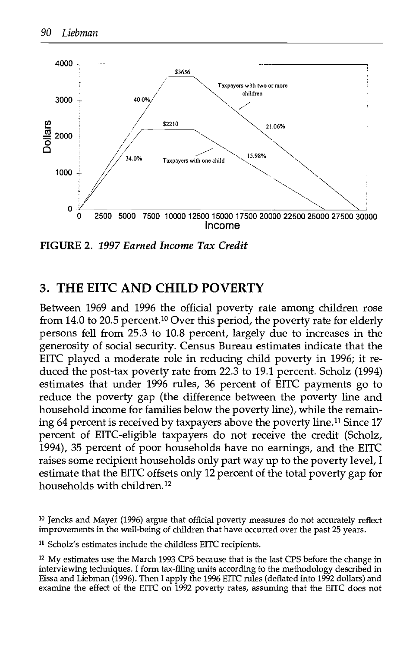

FIGURE 2. 1997 Earned Income Tax Credit

# 3. THE EITC AND CHILD POVERTY

Between 1969 and 1996 the official poverty rate among children rose from 14.0 to 20.5 percent.<sup>10</sup> Over this period, the poverty rate for elderly persons fell from 25.3 to 10.8 percent, largely due to increases in the generosity of social security. Census Bureau estimates indicate that the EITC played a moderate role in reducing child poverty in 1996; it reduced the post-tax poverty rate from 22.3 to 19.1 percent. Scholz (1994) estimates that under 1996 rules, 36 percent of EITC payments go to reduce the poverty gap (the difference between the poverty line and household income for families below the poverty line), while the remaining 64 percent is received by taxpayers above the poverty line.<sup>11</sup> Since 17 percent of EITC-eligible taxpayers do not receive the credit (Scholz, 1994), 35 percent of poor households have no earnings, and the EITC raises some recipient households only part way up to the poverty level, I estimate that the EITC offsets only 12 percent of the total poverty gap for households with children.12

<sup>&</sup>lt;sup>10</sup> Jencks and Mayer (1996) argue that official poverty measures do not accurately reflect improvements in the well-being of children that have occurred over the past 25 years.

Scholz's estimates include the childless EITC recipients.

 $12$  My estimates use the March 1993 CPS because that is the last CPS before the change in interviewing techniques. I form tax-filing units according to the methodology described in Eissa and Liebman (1996). Then I apply the 1996 EITC rules (deflated into 1992 dollars) and examine the effect of the EITC on 1992 poverty rates, assuming that the EITC does not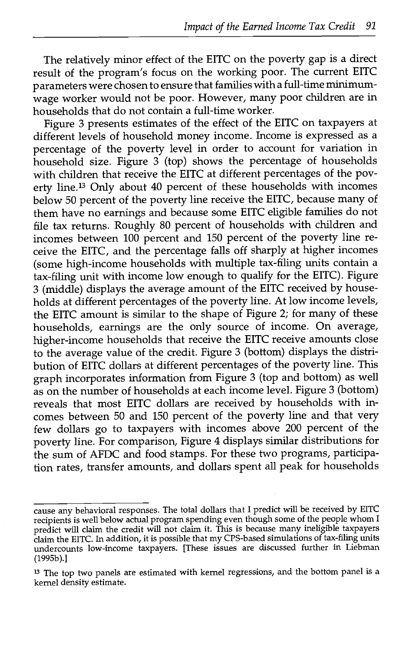The relatively minor effect of the EITC on the poverty gap is a direct result of the program's focus on the working poor. The current EITC parameters were chosen to ensure that families with a full-time minimumwage worker would not be poor. However, many poor children are in households that do not contain a full-time worker.

Figure 3 presents estimates of the effect of the EITC on taxpayers at different levels of household money income. Income is expressed as a percentage of the poverty level in order to account for variation in household size. Figure 3 (top) shows the percentage of households with children that receive the EITC at different percentages of the poverty line.13 Only about 40 percent of these households with incomes below 50 percent of the poverty line receive the EITC, because many of them have no earnings and because some EITC eligible families do not file tax returns. Roughly 80 percent of households with children and incomes between 100 percent and 150 percent of the poverty line receive the EITC, and the percentage falls off sharply at higher incomes (some high-income households with multiple tax-filing units contain a tax-filing unit with income low enough to qualify for the EITC). Figure 3 (middle) displays the average amount of the EITC received by households at different percentages of the poverty line. At low income levels, the EITC amount is similar to the shape of Figure 2; for many of these households, earnings are the only source of income. On average, higher-income households that receive the EITC receive amounts close to the average value of the credit. Figure 3 (bottom) displays the distribution of EITC dollars at different percentages of the poverty line. This graph incorporates information from Figure 3 (top and bottom) as well as on the number of households at each income level. Figure 3 (bottom) reveals that most EITC dollars are received by households with incomes between 50 and 150 percent of the poverty line and that very few dollars go to taxpayers with incomes above 200 percent of the poverty line. For comparison, Figure 4 displays similar distributions for the sum of AFDC and food stamps. For these two programs, participation rates, transfer amounts, and dollars spent all peak for households

cause any behavioral responses. The total dollars that I predict will be received by EITC recipients is well below actual program spending even though some of the people whom I predict wifi claim the credit will not claim it. This is because many ineligible taxpayers claim the EITC. In addition, it is possible that my CPS-based simulations of tax-filing units undercounts low-income taxpayers. [These issues are discussed further in Liebman (1995b).]

<sup>&</sup>lt;sup>13</sup> The top two panels are estimated with kernel regressions, and the bottom panel is a kernel density estimate.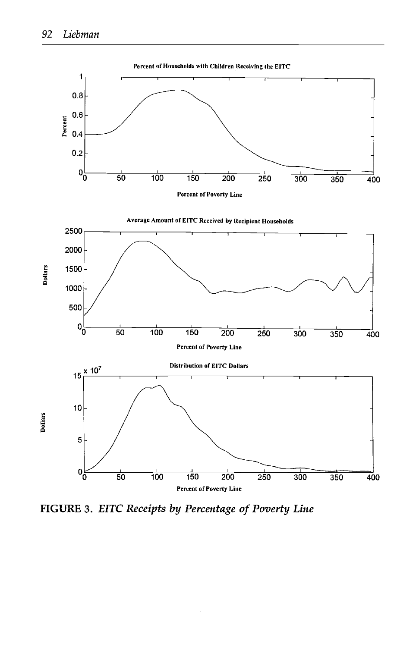

FIGURE 3. EITC Receipts by Percentage of Poverty Line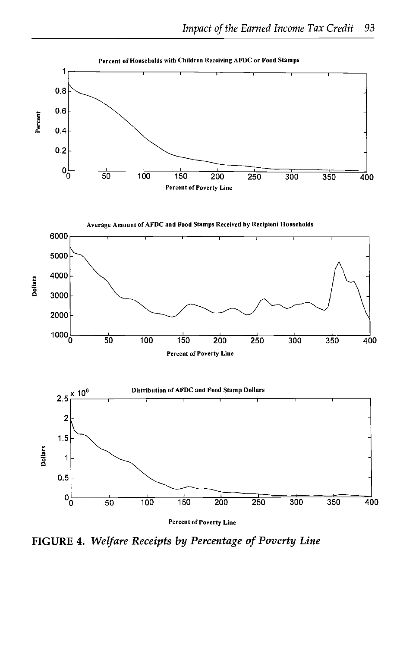

FIGURE 4. Welfare Receipts by Percentage of Poverty Line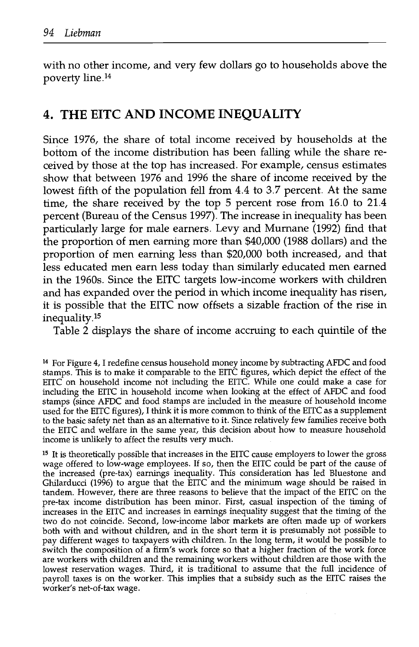with no other income, and very few dollars go to households above the poverty line.14

# 4. THE EITC AND INCOME INEQUALITY

Since 1976, the share of total income received by households at the bottom of the income distribution has been falling while the share received by those at the top has increased. For example, census estimates show that between 1976 and 1996 the share of income received by the lowest fifth of the population fell from 4.4 to 3.7 percent. At the same time, the share received by the top 5 percent rose from 16.0 to 21.4 percent (Bureau of the Census 1997). The increase in inequality has been particularly large for male earners. Levy and Murnane (1992) find that the proportion of men earning more than \$40,000 (1988 dollars) and the proportion of men earning less than \$20,000 both increased, and that less educated men earn less today than similarly educated men earned in the 1960s. Since the EITC targets low-income workers with children and has expanded over the period in which income inequality has risen, it is possible that the EITC now offsets a sizable fraction of the rise in inequality.15

Table 2 displays the share of income accruing to each quintile of the

<sup>14</sup> For Figure 4, I redefine census household money income by subtracting AFDC and food stamps. This is to make it comparable to the EITC figures, which depict the effect of the EITC on household income not including the EITC. While one could make a case for including the EITC in household income when looking at the effect of AFDC and food stamps (since AFDC and food stamps are included in the measure of household income used for the EITC figures), I think it is more common to think of the EITC as a supplement to the basic safety net than as an alternative to it. Since relatively few families receive both the EITC and welfare in the same year, this decision about how to measure household income is unlikely to affect the results very much.

<sup>&</sup>lt;sup>15</sup> It is theoretically possible that increases in the EITC cause employers to lower the gross wage offered to low-wage employees. If so, then the EITC could be part of the cause of the increased (pre-tax) earnings inequality. This consideration has led Bluestone and Ghilarducci (1996) to argue that the EITC and the minimum wage should be raised in tandem. However, there are three reasons to believe that the impact of the EITC on the pre-tax income distribution has been minor. First, casual inspection of the timing of increases in the EITC and increases in earnings inequality suggest that the timing of the two do not coincide. Second, low-income labor markets are often made up of workers both with and without children, and in the short term it is presumably not possible to pay different wages to taxpayers with children. In the long term, it would be possible to switch the composition of a firm's work force so that a higher fraction of the work force are workers with children and the remaining workers without children are those with the lowest reservation wages. Third, it is traditional to assume that the full incidence of payroll taxes is on the worker. This implies that a subsidy such as the EITC raises the worker's net-of-tax wage.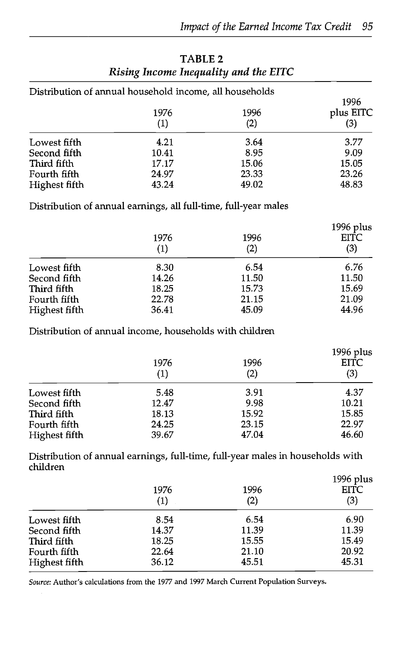|               | Distribution of annual household income, all households |             |                          |
|---------------|---------------------------------------------------------|-------------|--------------------------|
|               | 1976<br>(1)                                             | 1996<br>(2) | 1996<br>plus EITC<br>(3) |
| Lowest fifth  | 4.21                                                    | 3.64        | 3.77                     |
| Second fifth  | 10.41                                                   | 8.95        | 9.09                     |
| Third fifth   | 17.17                                                   | 15.06       | 15.05                    |
| Fourth fifth  | 24.97                                                   | 23.33       | 23.26                    |
| Highest fifth | 43.24                                                   | 49.02       | 48.83                    |
|               |                                                         |             |                          |

## TABLE 2 Rising Income Inequality and the EITC

Distribution of annual earnings, all full-time, full-year males

|               | 1996<br>1976<br>(2) | $1996$ plus<br><b>EITC</b><br>(3) |       |
|---------------|---------------------|-----------------------------------|-------|
| Lowest fifth  | 8.30                | 6.54                              | 6.76  |
| Second fifth  | 14.26               | 11.50                             | 11.50 |
| Third fifth   | 18.25               | 15.73                             | 15.69 |
| Fourth fifth  | 22.78               | 21.15                             | 21.09 |
| Highest fifth | 36.41               | 45.09                             | 44.96 |

Distribution of annual income, households with children

|               |       |       | $1996$ plus |
|---------------|-------|-------|-------------|
|               | 1976  | 1996  | EITC        |
|               |       | (2)   | (3)         |
| Lowest fifth  | 5.48  | 3.91  | 4.37        |
| Second fifth  | 12.47 | 9.98  | 10.21       |
| Third fifth   | 18.13 | 15.92 | 15.85       |
| Fourth fifth  | 24.25 | 23.15 | 22.97       |
| Highest fifth | 39.67 | 47.04 | 46.60       |

Distribution of annual earnings, full-time, full-year males in households with children

|               | 1976<br>$\scriptstyle{(1)}$ | 1996<br>$\left( 2\right)$ | 1996 plus<br><b>EITC</b><br>(3) |
|---------------|-----------------------------|---------------------------|---------------------------------|
| Lowest fifth  | 8.54                        | 6.54                      | 6.90                            |
| Second fifth  | 14.37                       | 11.39                     | 11.39                           |
| Third fifth   | 18.25                       | 15.55                     | 15.49                           |
| Fourth fifth  | 22.64                       | 21.10                     | 20.92                           |
| Highest fifth | 36.12                       | 45.51                     | 45.31                           |

Source: Author's calculations from the 1977 and 1997 March Current Population Surveys.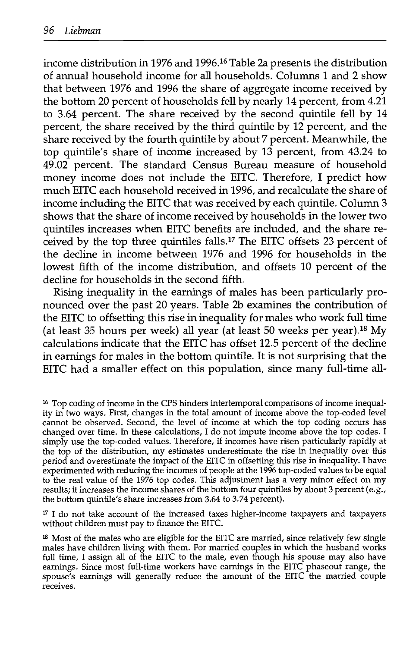income distribution in 1976 and 1996.16 Table 2a presents the distribution of annual household income for all households. Columns 1 and 2 show that between 1976 and 1996 the share of aggregate income received by the bottom 20 percent of households fell by nearly 14 percent, from 4.21 to 3.64 percent. The share received by the second quintile fell by 14 percent, the share received by the third quintile by 12 percent, and the share received by the fourth quintile by about 7 percent. Meanwhile, the top quintile's share of income increased by 13 percent, from 43.24 to 49.02 percent. The standard Census Bureau measure of household money income does not include the EITC. Therefore, I predict how much EITC each household received in 1996, and recalculate the share of income including the EITC that was received by each quintile. Column 3 shows that the share of income received by households in the lower two quintiles increases when EITC benefits are included, and the share received by the top three quintiles falls.17 The EITC offsets 23 percent of the decline in income between 1976 and 1996 for households in the lowest fifth of the income distribution, and offsets 10 percent of the decline for households in the second fifth.

Rising inequality in the earnings of males has been particularly pronounced over the past 20 years. Table 2b examines the contribution of the EITC to offsetting this rise in inequality for males who work full time (at least 35 hours per week) all year (at least 50 weeks per year).18 My calculations indicate that the EITC has offset 12.5 percent of the decline in earnings for males in the bottom quintile. It is not surprising that the EITC had a smaller effect on this population, since many full-time all-

<sup>17</sup> I do not take account of the increased taxes higher-income taxpayers and taxpayers without children must pay to finance the EITC.

<sup>&</sup>lt;sup>16</sup> Top coding of income in the CPS hinders intertemporal comparisons of income inequality in two ways. First, changes in the total amount of income above the top-coded level cannot be observed. Second, the level of income at which the top coding occurs has changed over time. In these calculations, I do not impute income above the top codes. I simply use the top-coded values. Therefore, if incomes have risen particularly rapidly at the top of the distribution, my estimates underestimate the rise in inequality over this period and overestimate the impact of the EITC in offsetting this rise in inequality. I have experimented with reducing the incomes of people at the 1996 top-coded values to be equal to the real value of the 1976 top codes. This adjustment has a very minor effect on my results; it increases the income shares of the bottom four quintiles by about 3 percent (e.g., the bottom quintile's share increases from 3.64 to 3.74 percent).

<sup>&</sup>lt;sup>18</sup> Most of the males who are eligible for the EITC are married, since relatively few single males have children living with them. For married couples in which the husband works full time, I assign all of the EITC to the male, even though his spouse may also have earnings. Since most full-time workers have earnings in the EITC phaseout range, the spouse's earnings will generally reduce the amount of the EITC the married couple receives.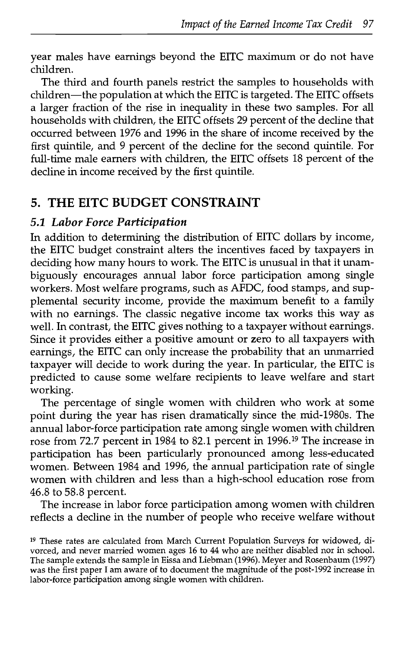year males have earnings beyond the EITC maximum or do not have children.

The third and fourth panels restrict the samples to households with children—the population at which the EITC is targeted. The EITC offsets a larger fraction of the rise in inequality in these two samples. For all households with children, the EITC offsets 29 percent of the decline that occurred between 1976 and 1996 in the share of income received by the first quintile, and 9 percent of the decline for the second quintile. For full-time male earners with children, the EITC offsets 18 percent of the decline in income received by the first quintile.

# 5. THE EITC BUDGET CONSTRAINT

#### 5.1 Labor Force Participation

In addition to determining the distribution of EITC dollars by income, the EITC budget constraint alters the incentives faced by taxpayers in deciding how many hours to work. The EITC is unusual in that it unambiguously encourages annual labor force participation among single workers. Most welfare programs, such as AFDC, food stamps, and supplemental security income, provide the maximum benefit to a family with no earnings. The classic negative income tax works this way as well. In contrast, the EITC gives nothing to a taxpayer without earnings. Since it provides either a positive amount or zero to all taxpayers with earnings, the EITC can only increase the probability that an unmarried taxpayer will decide to work during the year. In particular, the EITC is predicted to cause some welfare recipients to leave welfare and start working.

The percentage of single women with children who work at some point during the year has risen dramatically since the mid-1980s. The annual labor-force participation rate among single women with children rose from 72.7 percent in 1984 to 82.1 percent in 1996.<sup>19</sup> The increase in participation has been particularly pronounced among less-educated women. Between 1984 and 1996, the annual participation rate of single women with children and less than a high-school education rose from 46.8 to 58.8 percent.

The increase in labor force participation among women with children reflects a decline in the number of people who receive welfare without

<sup>19</sup> These rates are calculated from March Current Population Surveys for widowed, divorced, and never married women ages 16 to 44 who are neither disabled nor in school. The sample extends the sample in Eissa and Liebman (1996). Meyer and Rosenbaum (1997) was the first paper I am aware of to document the magnitude of the post-1992 increase in labor-force participation among single women with children.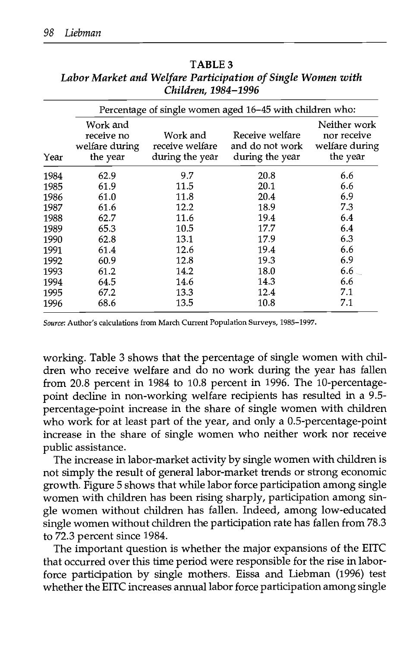|      | Percentage of single women aged 16-45 with children who: |                                                |                                                       |                                                           |  |
|------|----------------------------------------------------------|------------------------------------------------|-------------------------------------------------------|-----------------------------------------------------------|--|
| Year | Work and<br>receive no<br>welfare during<br>the year     | Work and<br>receive welfare<br>during the year | Receive welfare<br>and do not work<br>during the year | Neither work<br>nor receive<br>welfare during<br>the year |  |
| 1984 | 62.9                                                     | 9.7                                            | 20.8                                                  | 6.6                                                       |  |
| 1985 | 61.9                                                     | 11.5                                           | 20.1                                                  | 6.6                                                       |  |
| 1986 | 61.0                                                     | 11.8                                           | 20.4                                                  | 6.9                                                       |  |
| 1987 | 61.6                                                     | 12.2                                           | 18.9                                                  | 7.3                                                       |  |
| 1988 | 62.7                                                     | 11.6                                           | 19.4                                                  | 6.4                                                       |  |
| 1989 | 65.3                                                     | 10.5                                           | 17.7                                                  | 6.4                                                       |  |
| 1990 | 62.8                                                     | 13.1                                           | 17.9                                                  | 6.3                                                       |  |
| 1991 | 61.4                                                     | 12.6                                           | 19.4                                                  | 6.6                                                       |  |
| 1992 | 60.9                                                     | 12.8                                           | 19.3                                                  | 6.9                                                       |  |
| 1993 | 61.2                                                     | 14.2                                           | 18.0                                                  | 6.6                                                       |  |
| 1994 | 64.5                                                     | 14.6                                           | 14.3                                                  | 6.6                                                       |  |
| 1995 | 67.2                                                     | 13.3                                           | 12.4                                                  | 7.1                                                       |  |
| 1996 | 68.6                                                     | 13.5                                           | 10.8                                                  | 7.1                                                       |  |

TABLE 3 Labor Market and Welfare Participation of Single Women with Children, 1984-1996

Source: Author's calculations from March Current Population Surveys, 1985-1997.

working. Table 3 shows that the percentage of single women with children who receive welfare and do no work during the year has fallen from 20.8 percent in 1984 to 10.8 percent in 1996. The 10-percentagepoint decline in non-working welfare recipients has resulted in a 9.5 percentage-point increase in the share of single women with children who work for at least part of the year, and only a 0.5-percentage-point increase in the share of single women who neither work nor receive public assistance.

The increase in labor-market activity by single women with children is not simply the result of general labor-market trends or strong economic growth. Figure 5 shows that while labor force participation among single women with children has been rising sharply, participation among single women without children has fallen. Indeed, among low-educated single women without children the participation rate has fallen from 78.3 to 72.3 percent since 1984.

The important question is whether the major expansions of the EITC that occurred over this time period were responsible for the rise in laborforce participation by single mothers. Eissa and Liebman (1996) test whether the EITC increases annual labor force participation among single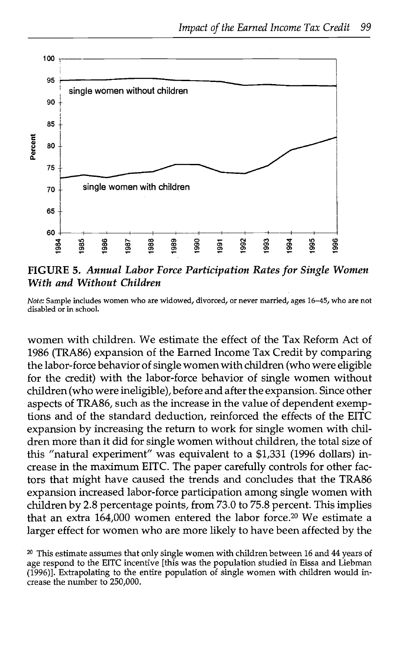

FIGURE 5. Annual Labor Force Participation Rates for Single Women With and Without Children

Note: Sample includes women who are widowed, divorced, or never married, ages 16-45, who are not disabled or in school.

women with children. We estimate the effect of the Tax Reform Act of 1986 (TRA86) expansion of the Earned Income Tax Credit by comparing the labor-force behavior of single women with children (who were eligible for the credit) with the labor-force behavior of single women without children (who were ineligible), before and after the expansion. Since other aspects of TRA86, such as the increase in the value of dependent exemptions and of the standard deduction, reinforced the effects of the EITC expansion by increasing the return to work for single women with children more than it did for single women without children, the total size of this "natural experiment" was equivalent to a \$1,331 (1996 dollars) increase in the maximum EITC. The paper carefully controls for other factors that might have caused the trends and concludes that the TRA86 expansion increased labor-force participation among single women with children by 2.8 percentage points, from 73.0 to 75.8 percent. This implies that an extra  $164,000$  women entered the labor force.<sup>20</sup> We estimate a larger effect for women who are more likely to have been affected by the

 $20$  This estimate assumes that only single women with children between 16 and 44 years of age respond to the EITC incentive [this was the population studied in Eissa and Liebman (1996)]. Extrapolating to the entire population of single women with children would increase the number to 250,000.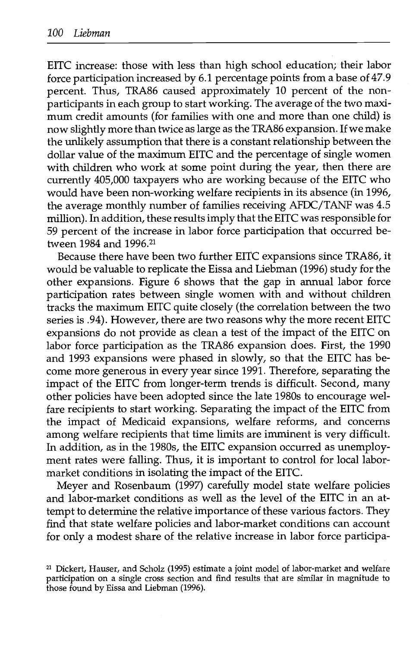EITC increase: those with less than high school education; their labor force participation increased by 6.1 percentage points from a base of 47.9 percent. Thus, TRA86 caused approximately 10 percent of the nonparticipants in each group to start working. The average of the two maximum credit amounts (for families with one and more than one child) is now slightly more than twice as large as the TRA86 expansion. If we make the unlikely assumption that there is a constant relationship between the dollar value of the maximum EITC and the percentage of single women with children who work at some point during the year, then there are currently 405,000 taxpayers who are working because of the EITC who would have been non-working welfare recipients in its absence (in 1996, the average monthly number of families receiving AFDC/TANF was 4.5 million). In addition, these results imply that the EITC was responsible for 59 percent of the increase in labor force participation that occurred between 1984 and 1996.21

Because there have been two further EITC expansions since TRA86, it would be valuable to replicate the Eissa and Liebman (1996) study for the other expansions. Figure 6 shows that the gap in annual labor force participation rates between single women with and without children tracks the maximum EITC quite closely (the correlation between the two series is .94). However, there are two reasons why the more recent EITC expansions do not provide as clean a test of the impact of the EITC on labor force participation as the TRA86 expansion does. First, the 1990 and 1993 expansions were phased in slowly, so that the EITC has become more generous in every year since 1991. Therefore, separating the impact of the EITC from longer-term trends is difficult. Second, many other policies have been adopted since the late 1980s to encourage welfare recipients to start working. Separating the impact of the EITC from the impact of Medicaid expansions, welfare reforms, and concerns among welfare recipients that time limits are imminent is very difficult. In addition, as in the 1980s, the EITC expansion occurred as unemployment rates were falling. Thus, it is important to control for local labormarket conditions in isolating the impact of the EITC.

Meyer and Rosenbaum (1997) carefully model state welfare policies and labor-market conditions as well as the level of the EITC in an attempt to determine the relative importance of these various factors. They find that state welfare policies and labor-market conditions can account for only a modest share of the relative increase in labor force participa-

<sup>&</sup>lt;sup>21</sup> Dickert, Hauser, and Scholz (1995) estimate a joint model of labor-market and welfare participation on a single cross section and find results that are similar in magnitude to those found by Eissa and Liebman (1996).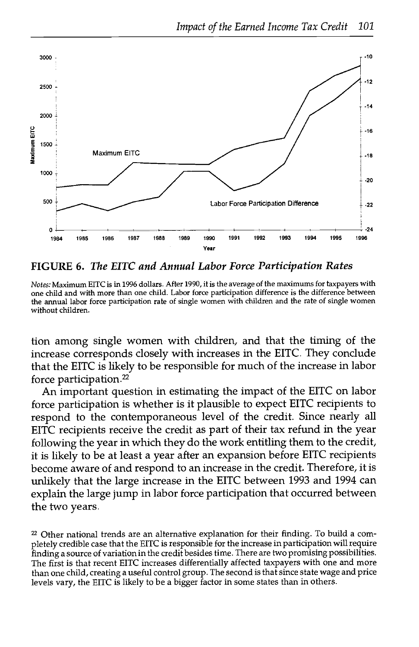

FIGURE 6. The EITC and Annual Labor Force Participation Rates

Notes: Maximum EITC is in 1996 dollars. After 1990, it is the average of the maximums for taxpayers with one child and with more than one child. Labor force participation difference is the difference between the annual labor force participation rate of single women with children and the rate of single women without children.

tion among single women with children, and that the timing of the increase corresponds closely with increases in the EITC. They conclude that the EITC is likely to be responsible for much of the increase in labor force participation.

An important question in estimating the impact of the EITC on labor force participation is whether is it plausible to expect EITC recipients to respond to the contemporaneous level of the credit. Since nearly all EITC recipients receive the credit as part of their tax refund in the year following the year in which they do the work entitling them to the credit, it is likely to be at least a year after an expansion before EITC recipients become aware of and respond to an increase in the credit. Therefore, it is unlikely that the large increase in the EITC between 1993 and 1994 can explain the large jump in labor force participation that occurred between the two years.

 $22$  Other national trends are an alternative explanation for their finding. To build a completely credible case that the EITC is responsible for the increase in participation will require finding a source of variation in the credit besides time. There are two promising possibilities. The first is that recent EITC increases differentially affected taxpayers with one and more than one child, creating a useful control group. The second is that since state wage and price levels vary, the EITC is likely to be a bigger factor in some states than in others.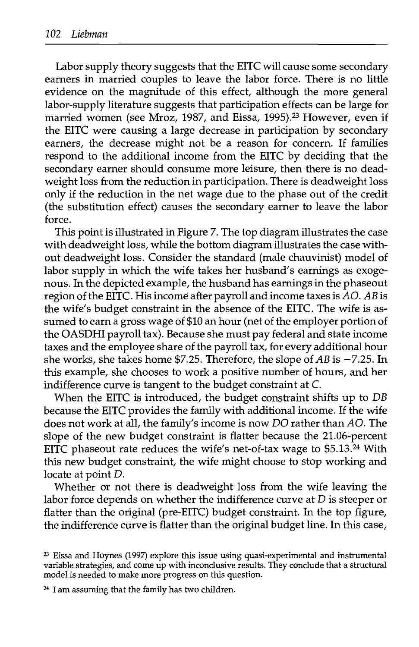Labor supply theory suggests that the EITC will cause some secondary earners in married couples to leave the labor force. There is no little evidence on the magnitude of this effect, although the more general labor-supply literature suggests that participation effects can be large for married women (see Mroz, 1987, and Eissa, 1995).<sup>23</sup> However, even if the EITC were causing a large decrease in participation by secondary earners, the decrease might not be a reason for concern. If families respond to the additional income from the EITC by deciding that the secondary earner should consume more leisure, then there is no deadweight loss from the reduction in participation. There is deadweight loss only if the reduction in the net wage due to the phase out of the credit (the substitution effect) causes the secondary earner to leave the labor force.

This point is illustrated in Figure 7. The top diagram illustrates the case with deadweight loss, while the bottom diagram illustrates the case without deadweight loss. Consider the standard (male chauvinist) model of labor supply in which the wife takes her husband's earnings as exogenous. In the depicted example, the husband has earnings in the phaseout region of the EITC. His income after payroll and income taxes is AO. AB is the wife's budget constraint in the absence of the EITC. The wife is assumed to earn a gross wage of \$10 an hour (net of the employer portion of the OASDHI payroll tax). Because she must pay federal and state income taxes and the employee share of the payroll tax, for every additional hour she works, she takes home \$7.25. Therefore, the slope of  $AB$  is  $-7.25$ . In this example, she chooses to work a positive number of hours, and her indifference curve is tangent to the budget constraint at C.

When the EITC is introduced, the budget constraint shifts up to DB because the EITC provides the family with additional income. If the wife does not work at all, the family's income is now DO rather than AO. The slope of the new budget constraint is flatter because the 21.06-percent EITC phaseout rate reduces the wife's net-of-tax wage to \$5.13.<sup>24</sup> With this new budget constraint, the wife might choose to stop working and locate at point D.

Whether or not there is deadweight loss from the wife leaving the labor force depends on whether the indifference curve at D is steeper or flatter than the original (pre-EITC) budget constraint. In the top figure, the indifference curve is flatter than the original budget line. In this case,

24 J am assuming that the family has two children.

 $2<sup>23</sup>$  Eissa and Hoynes (1997) explore this issue using quasi-experimental and instrumental variable strategies, and come up with inconclusive results. They conclude that a structural model is needed to make more progress on this question.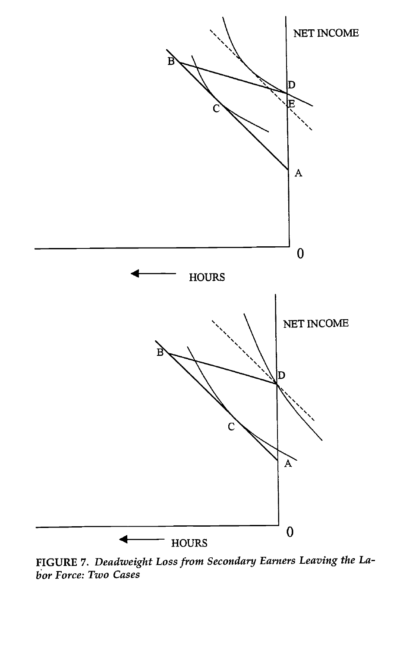

FIGURE 7. Deadweight Loss from Secondary Earners Leaving the Labor Force: Two Cases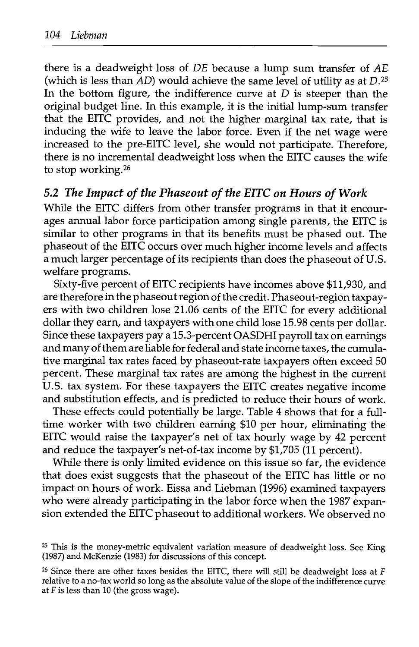there is a deadweight loss of DE because a lump sum transfer of AE (which is less than  $AD$ ) would achieve the same level of utility as at  $D^{25}$ In the bottom figure, the indifference curve at  $D$  is steeper than the original budget line. In this example, it is the initial lump-sum transfer that the EITC provides, and not the higher marginal tax rate, that is inducing the wife to leave the labor force. Even if the net wage were increased to the pre-EITC level, she would not participate. Therefore, there is no incremental deadweight loss when the EITC causes the wife to stop working.26

## 5.2 The Impact of the Phaseout of the EITC on Hours of Work

While the EITC differs from other transfer programs in that it encourages annual labor force participation among single parents, the EITC is similar to other programs in that its benefits must be phased out. The phaseout of the EITC occurs over much higher income levels and affects a much larger percentage of its recipients than does the phaseout of U.S. welfare programs.

Sixty-five percent of EITC recipients have incomes above \$11,930, and are therefore in the phaseout region of the credit. Phaseout-region taxpayers with two children lose 21.06 cents of the EITC for every additional dollar they earn, and taxpayers with one child lose 15.98 cents per dollar. Since these taxpayers pay a 15.3-percent OASDHI payroll tax on earnings and many of them are liable for federal and state income taxes, the cumulative marginal tax rates faced by phaseout-rate taxpayers often exceed 50 percent. These marginal tax rates are among the highest in the current U.S. tax system. For these taxpayers the EITC creates negative income and substitution effects, and is predicted to reduce their hours of work.

These effects could potentially be large. Table 4 shows that for a fulltime worker with two children earning \$10 per hour, eliminating the EITC would raise the taxpayer's net of tax hourly wage by 42 percent and reduce the taxpayer's net-of-tax income by \$1,705 (11 percent).

While there is only limited evidence on this issue so far, the evidence that does exist suggests that the phaseout of the EITC has little or no impact on hours of work. Eissa and Liebman (1996) examined taxpayers who were already participating in the labor force when the 1987 expansion extended the EITC phaseout to additional workers. We observed no

 $25$  This is the money-metric equivalent variation measure of deadweight loss. See King (1987) and McKenzie (1983) for discussions of this concept.

 $26$  Since there are other taxes besides the EITC, there will still be deadweight loss at  $F$ relative to a no-tax world so long as the absolute value of the slope of the indifference curve at  $F$  is less than 10 (the gross wage).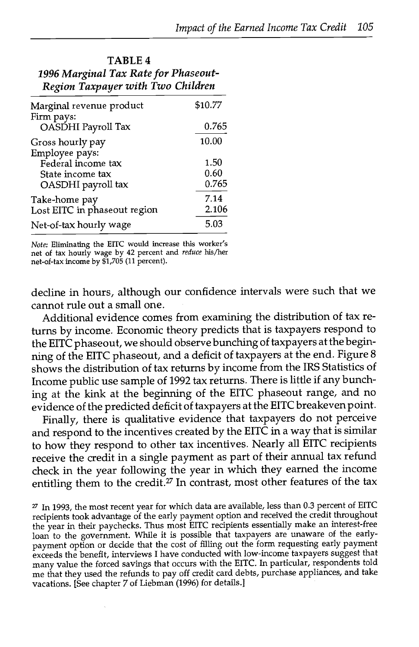#### TABLE 4 1996 Marginal Tax Rate for Phaseout-Region Taxpayer with Two Children

| Marginal revenue product<br>Firm pays: | \$10.77 |
|----------------------------------------|---------|
| OASDHI Payroll Tax                     | 0.765   |
| Gross hourly pay                       | 10.00   |
| Employee pays:                         |         |
| Federal income tax                     | 1.50    |
| State income tax                       | 0.60    |
| OASDHI payroll tax                     | 0.765   |
| Take-home pay                          | 7.14    |
| Lost EITC in phaseout region           | 2.106   |
| Net-of-tax hourly wage                 | 5.03    |
|                                        |         |

Note: Eliminating the EITC would increase this worker's net of tax hourly wage by 42 percent and reduce his/her net-of-tax income by \$1,705 (11 percent).

decline in hours, although our confidence intervals were such that we cannot rule out a small one.

Additional evidence comes from examining the distribution of tax returns by income. Economic theory predicts that is taxpayers respond to the EITC phaseout, we should observe bunching of taxpayers at the beginning of the EITC phaseout, and a deficit of taxpayers at the end. Figure 8 shows the distribution of tax returns by income from the IRS Statistics of Income public use sample of 1992 tax returns. There is little if any bunching at the kink at the beginning of the EITC phaseout range, and no evidence of the predicted deficit of taxpayers at the EITC breakeven point.

Finally, there is qualitative evidence that taxpayers do not perceive and respond to the incentives created by the EITC in a way that is similar to how they respond to other tax incentives. Nearly all EITC recipients receive the credit in a single payment as part of their annual tax refund check in the year following the year in which they earned the income entitling them to the credit.<sup>27</sup> In contrast, most other features of the tax

 $^{27}$  In 1993, the most recent year for which data are available, less than 0.3 percent of EITC recipients took advantage of the early payment option and received the credit throughout the year in their paychecks. Thus most EITC recipients essentially make an interest-free loan to the government. While it is possible that taxpayers are unaware of the earlypayment option or decide that the cost of filling out the form requesting early payment exceeds the benefit, interviews I have conducted with low-income taxpayers suggest that many value the forced savings that occurs with the EITC. In particular, respondents told me that they used the refunds to pay off credit card debts, purchase appliances, and take vacations. [See chapter 7 of Liebman (1996) for details.]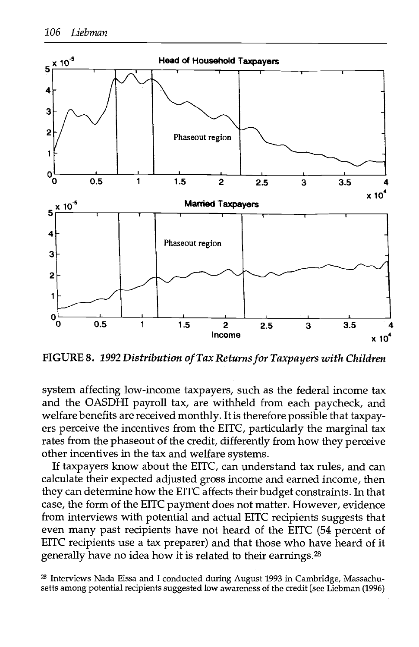

FIGURE 8. 1992 Distribution of Tax Returns for Taxpayers with Children

system affecting low-income taxpayers, such as the federal income tax and the OASDHI payroll tax, are withheld from each paycheck, and welfare benefits are received monthly. It is therefore possible that taxpayers perceive the incentives from the EITC, particularly the marginal tax rates from the phaseout of the credit, differently from how they perceive other incentives in the tax and welfare systems.

If taxpayers know about the EITC, can understand tax rules, and can calculate their expected adjusted gross income and earned income, then they can determine how the EITC affects their budget constraints. In that case, the form of the EITC payment does not matter. However, evidence from interviews with potential and actual EITC recipients suggests that even many past recipients have not heard of the EITC (54 percent of EITC recipients use a tax preparer) and that those who have heard of it generally have no idea how it is related to their earnings.28

<sup>28</sup> Interviews Nada Eissa and I conducted during August 1993 in Cambridge, Massachusetts among potential recipients suggested low awareness of the credit [see Liebman (1996)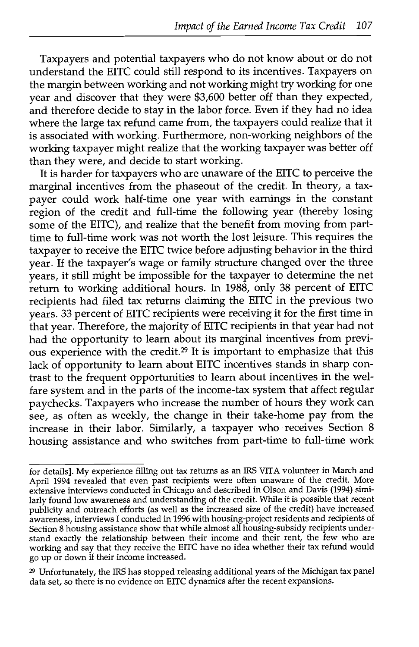Taxpayers and potential taxpayers who do not know about or do not understand the EITC could still respond to its incentives. Taxpayers on the margin between working and not working might try working for one year and discover that they were \$3,600 better off than they expected, and therefore decide to stay in the labor force. Even if they had no idea where the large tax refund came from, the taxpayers could realize that it is associated with working. Furthermore, non-working neighbors of the working taxpayer might realize that the working taxpayer was better off than they were, and decide to start working.

It is harder for taxpayers who are unaware of the EITC to perceive the marginal incentives from the phaseout of the credit. In theory, a taxpayer could work half-time one year with earnings in the constant region of the credit and full-time the following year (thereby losing some of the EITC), and realize that the benefit from moving from parttime to full-time work was not worth the lost leisure. This requires the taxpayer to receive the EITC twice before adjusting behavior in the third year. If the taxpayer's wage or family structure changed over the three years, it still might be impossible for the taxpayer to determine the net return to working additional hours. In 1988, only 38 percent of EITC recipients had ified tax returns claiming the EITC in the previous two years. 33 percent of EITC recipients were receiving it for the first time in that year. Therefore, the majority of EITC recipients in that year had not had the opportunity to learn about its marginal incentives from previous experience with the credit.<sup>29</sup> It is important to emphasize that this lack of opportunity to learn about EITC incentives stands in sharp contrast to the frequent opportunities to learn about incentives in the welfare system and in the parts of the income-tax system that affect regular paychecks. Taxpayers who increase the number of hours they work can see, as often as weekly, the change in their take-home pay from the increase in their labor. Similarly, a taxpayer who receives Section 8 housing assistance and who switches from part-time to full-time work

for details]. My experience filling out tax returns as an IRS VITA volunteer in March and April 1994 revealed that even past recipients were often unaware of the credit. More extensive interviews conducted in Chicago and described in Olson and Davis (1994) similarly found low awareness and understanding of the credit. While it is possible that recent publicity and outreach efforts (as well as the increased size of the credit) have increased awareness, interviews I conducted in 1996 with housing-project residents and recipients of Section 8 housing assistance show that while almost all housing-subsidy recipients understand exactly the relationship between their income and their rent, the few who are working and say that they receive the EITC have no idea whether their tax refund would go up or down if their income increased.

Unfortunately, the IRS has stopped releasing additional years of the Michigan tax panel data set, so there is no evidence on EITC dynamics after the recent expansions.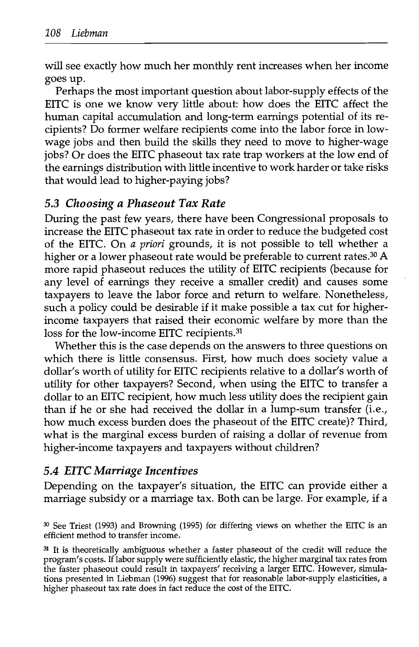will see exactly how much her monthly rent increases when her income goes up.

Perhaps the most important question about labor-supply effects of the EITC is one we know very little about: how does the EITC affect the human capital accumulation and long-term earnings potential of its recipients? Do former welfare recipients come into the labor force in lowwage jobs and then build the skills they need to move to higher-wage jobs? Or does the EITC phaseout tax rate trap workers at the low end of the earnings distribution with little incentive to work harder or take risks that would lead to higher-paying jobs?

#### 5.3 Choosing a Phaseout Tax Rate

During the past few years, there have been Congressional proposals to increase the EITC phaseout tax rate in order to reduce the budgeted cost of the EITC. On a priori grounds, it is not possible to tell whether a higher or a lower phaseout rate would be preferable to current rates.<sup>30</sup> A more rapid phaseout reduces the utility of EITC recipients (because for any level of earnings they receive a smaller credit) and causes some taxpayers to leave the labor force and return to welfare. Nonetheless, such a policy could be desirable if it make possible a tax cut for higherincome taxpayers that raised their economic welfare by more than the loss for the low-income EITC recipients.31

Whether this is the case depends on the answers to three questions on which there is little consensus. First, how much does society value a dollar's worth of utility for EITC recipients relative to a dollar's worth of utility for other taxpayers? Second, when using the EITC to transfer a dollar to an EITC recipient, how much less utility does the recipient gain than if he or she had received the dollar in a lump-sum transfer (i.e., how much excess burden does the phaseout of the EITC create)? Third, what is the marginal excess burden of raising a dollar of revenue from higher-income taxpayers and taxpayers without children?

# 5.4 EITC Marriage Incentives

Depending on the taxpayer's situation, the EITC can provide either a marriage subsidy or a marriage tax. Both can be large. For example, if a

 $30$  See Triest (1993) and Browning (1995) for differing views on whether the EITC is an efficient method to transfer income.

<sup>&</sup>lt;sup>31</sup> It is theoretically ambiguous whether a faster phaseout of the credit will reduce the program's costs. If labor supply were sufficiently elastic, the higher marginal tax rates from the faster phaseout could result in taxpayers' receiving a larger EITC. However, simulations presented in Liebman (1996) suggest that for reasonable labor-supply elasticities, a higher phaseout tax rate does in fact reduce the cost of the EITC.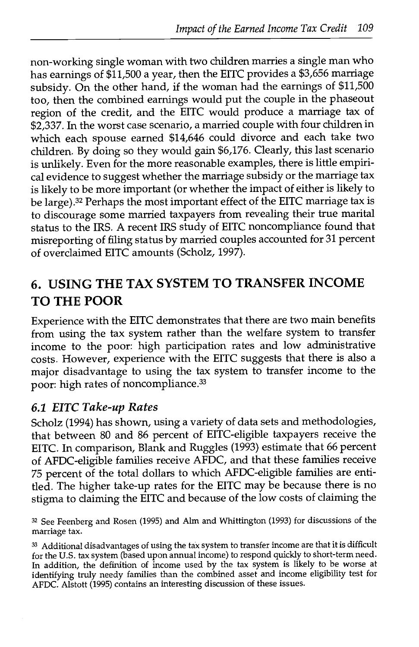non-working single woman with two children marries a single man who has earnings of \$11,500 a year, then the EITC provides a \$3,656 marriage subsidy. On the other hand, if the woman had the earnings of \$11,500 too, then the combined earnings would put the couple in the phaseout region of the credit, and the EITC would produce a marriage tax of \$2,337. In the worst case scenario, a married couple with four children in which each spouse earned \$14,646 could divorce and each take two children. By doing so they would gain \$6,176. Clearly, this last scenario is unlikely. Even for the more reasonable examples, there is little empirical evidence to suggest whether the marriage subsidy or the marriage tax is likely to be more important (or whether the impact of either is likely to be large) 32 Perhaps the most important effect of the EITC marriage tax is to discourage some married taxpayers from revealing their true marital status to the IRS. A recent IRS study of EITC noncompliance found that misreporting of filing status by married couples accounted for 31 percent of overclaimed EITC amounts (Scholz, 1997).

# 6. USING THE TAX SYSTEM TO TRANSFER INCOME TO THE POOR

Experience with the EITC demonstrates that there are two main benefits from using the tax system rather than the welfare system to transfer income to the poor: high participation rates and low administrative costs. However, experience with the EITC suggests that there is also a major disadvantage to using the tax system to transfer income to the poor: high rates of noncompliance.<sup>33</sup>

# 6.1 EITC Take-up Rates

Scholz (1994) has shown, using a variety of data sets and methodologies, that between 80 and 86 percent of EITC-eligible taxpayers receive the EITC. In comparison, Blank and Ruggles (1993) estimate that 66 percent of AFDC-eligible families receive AFDC, and that these families receive 75 percent of the total dollars to which AFDC-eligible families are entitled. The higher take-up rates for the EITC may be because there is no stigma to claiming the EITC and because of the low costs of claiming the

<sup>32</sup> See Feenberg and Rosen (1995) and Aim and Whittington (1993) for discussions of the marriage tax.

Additional disadvantages of using the tax system to transfer income are that it is difficult for the U.S. tax system (based upon annual income) to respond quickly to short-term need. In addition, the definition of income used by the tax system is likely to be worse at identifying truly needy families than the combined asset and income eligibility test for AFDC. Alstott (1995) contains an interesting discussion of these issues.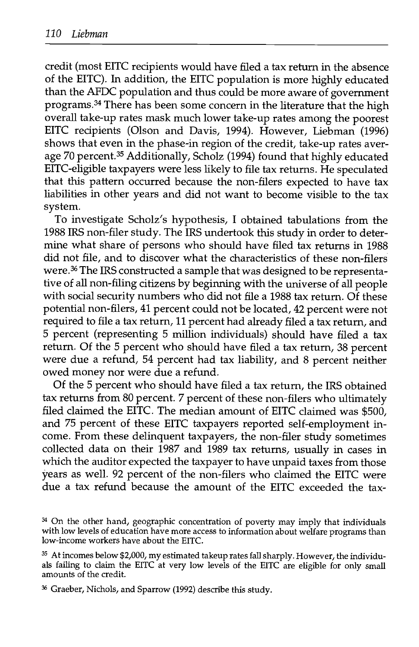credit (most EITC recipients would have filed a tax return in the absence of the EITC). In addition, the EITC population is more highly educated than the AFDC population and thus could be more aware of government programs.34 There has been some concern in the literature that the high overall take-up rates mask much lower take-up rates among the poorest EITC recipients (Olson and Davis, 1994). However, Liebman (1996) shows that even in the phase-in region of the credit, take-up rates average 70 percent.<sup>35</sup> Additionally, Scholz (1994) found that highly educated EITC-eligible taxpayers were less likely to file tax returns. He speculated that this pattern occurred because the non-filers expected to have tax liabilities in other years and did not want to become visible to the tax system.

To investigate Scholz's hypothesis, I obtained tabulations from the 1988 IRS non-filer study. The IRS undertook this study in order to determine what share of persons who should have filed tax returns in 1988 did not file, and to discover what the characteristics of these non-filers were.<sup>36</sup> The IRS constructed a sample that was designed to be representative of all non-ffling citizens by beginning with the universe of all people with social security numbers who did not file a 1988 tax return. Of these potential non-filers, 41 percent could not be located, 42 percent were not required to file a tax return, 11 percent had already filed a tax return, and 5 percent (representing 5 million individuals) should have filed a tax return. Of the 5 percent who should have filed a tax return, 38 percent were due a refund, 54 percent had tax liability, and 8 percent neither owed money nor were due a refund.

Of the 5 percent who should have ified a tax return, the IRS obtained tax returns from 80 percent. 7 percent of these non-filers who ultimately filed claimed the EITC. The median amount of EITC claimed was \$500, and 75 percent of these EITC taxpayers reported self-employment income. From these delinquent taxpayers, the non-filer study sometimes collected data on their 1987 and 1989 tax returns, usually in cases in which the auditor expected the taxpayer to have unpaid taxes from those years as well. 92 percent of the non-filers who claimed the EITC were due a tax refund because the amount of the EITC exceeded the tax-

<sup>&</sup>lt;sup>34</sup> On the other hand, geographic concentration of poverty may imply that individuals with low levels of education have more access to information about welfare programs than low-income workers have about the EITC.

 $35$  At incomes below \$2,000, my estimated takeup rates fall sharply. However, the individuals failing to claim the EITC at very low levels of the EITC are eligible for only small amounts of the credit.

Graeber, Nichols, and Sparrow (1992) describe this study.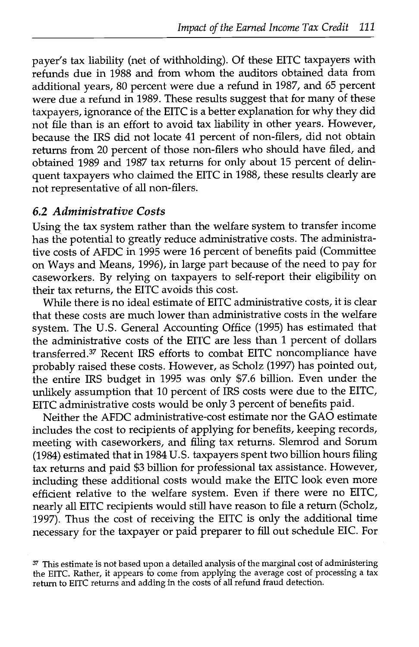payer's tax liability (net of withholding). Of these EITC taxpayers with refunds due in 1988 and from whom the auditors obtained data from additional years, 80 percent were due a refund in 1987, and 65 percent were due a refund in 1989. These results suggest that for many of these taxpayers, ignorance of the EITC is a better explanation for why they did not file than is an effort to avoid tax liability in other years. However, because the IRS did not locate 41 percent of non-filers, did not obtain returns from 20 percent of those non-filers who should have filed, and obtained 1989 and 1987 tax returns for only about 15 percent of delinquent taxpayers who claimed the EITC in 1988, these results clearly are not representative of all non-filers.

#### 6.2 Administrative Costs

Using the tax system rather than the welfare system to transfer income has the potential to greatly reduce administrative costs. The administrative costs of AFDC in 1995 were 16 percent of benefits paid (Committee on Ways and Means, 1996), in large part because of the need to pay for caseworkers. By relying on taxpayers to self-report their eligibility on their tax returns, the EITC avoids this cost.

While there is no ideal estimate of EITC administrative costs, it is clear that these costs are much lower than administrative costs in the welfare system. The U.S. General Accounting Office (1995) has estimated that the administrative costs of the EITC are less than 1 percent of dollars transferred.37 Recent IRS efforts to combat EITC noncompliance have probably raised these costs. However, as Scholz (1997) has pointed out, the entire IRS budget in 1995 was only \$7.6 billion. Even under the unlikely assumption that 10 percent of IRS costs were due to the EITC, EITC administrative costs would be only 3 percent of benefits paid.

Neither the AFDC administrative-cost estimate nor the GAO estimate includes the cost to recipients of applying for benefits, keeping records, meeting with caseworkers, and filing tax returns. Slemrod and Sorum (1984) estimated that in 1984 U.S. taxpayers spent two billion hours filing tax returns and paid \$3 billion for professional tax assistance. However, including these additional costs would make the EITC look even more efficient relative to the welfare system. Even if there were no EITC, nearly all EITC recipients would still have reason to file a return (Scholz, 1997). Thus the cost of receiving the EITC is only the additional time necessary for the taxpayer or paid preparer to fill out schedule ETC. For

 $37$  This estimate is not based upon a detailed analysis of the marginal cost of administering the EITC. Rather, it appears to come from applying the average cost of processing a tax return to EITC returns and adding in the costs of all refund fraud detection.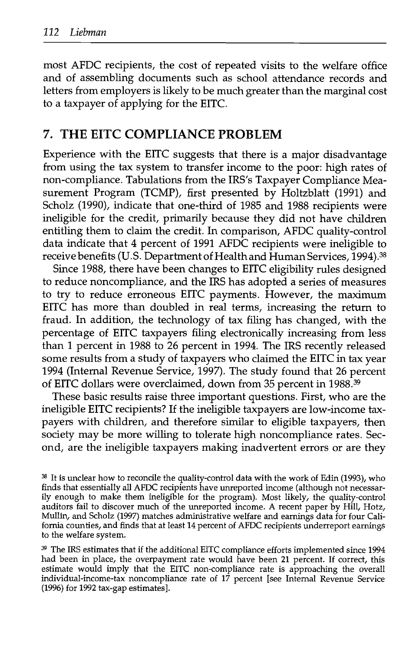most AFDC recipients, the cost of repeated visits to the welfare office and of assembling documents such as school attendance records and letters from employers is likely to be much greater than the marginal cost to a taxpayer of applying for the EITC.

# 7. THE EITC COMPLIANCE PROBLEM

Experience with the EITC suggests that there is a major disadvantage from using the tax system to transfer income to the poor: high rates of non-compliance. Tabulations from the IRS's Taxpayer Compliance Measurement Program (TCMP), first presented by Holtzblatt (1991) and Scholz (1990), indicate that one-third of 1985 and 1988 recipients were ineligible for the credit, primarily because they did not have children entitling them to claim the credit. In comparison, AFDC quality-control data indicate that 4 percent of 1991 AFDC recipients were ineligible to receive benefits (U.S. Department of Health and Human Services, 1994).

Since 1988, there have been changes to EITC eligibility rules designed to reduce noncompliance, and the IRS has adopted a series of measures to try to reduce erroneous EITC payments. However, the maximum EITC has more than doubled in real terms, increasing the return to fraud. In addition, the technology of tax ffling has changed, with the percentage of EITC taxpayers ffling electronically increasing from less than 1 percent in 1988 to 26 percent in 1994. The IRS recently released some results from a study of taxpayers who claimed the EITC in tax year 1994 (Internal Revenue Service, 1997). The study found that 26 percent of EITC dollars were overclaimed, down from 35 percent in 1988.<sup>39</sup>

These basic results raise three important questions. First, who are the ineligible EITC recipients? If the ineligible taxpayers are low-income taxpayers with children, and therefore similar to eligible taxpayers, then society may be more willing to tolerate high noncompliance rates. Second, are the ineligible taxpayers making inadvertent errors or are they

<sup>38</sup> It is unclear how to reconcile the quality-control data with the work of Edin (1993), who finds that essentially all AFDC recipients have unreported income (although not necessarily enough to make them ineligible for the program). Most likely, the quality-control auditors fail to discover much of the unreported income. A recent paper by Hill, Hotz, Mullin, and Scholz (1997) matches administrative welfare and earnings data for four California counties, and finds that at least 14 percent of AFDC recipients underreport earnings to the welfare system.

The IRS estimates that if the additional EITC compliance efforts implemented since 1994 had been in place, the overpayment rate would have been 21 percent. If correct, this estimate would imply that the EITC non-compliance rate is approaching the overall individual-income-tax noncompliance rate of 17 percent [see Internal Revenue Service (1996) for 1992 tax-gap estimates].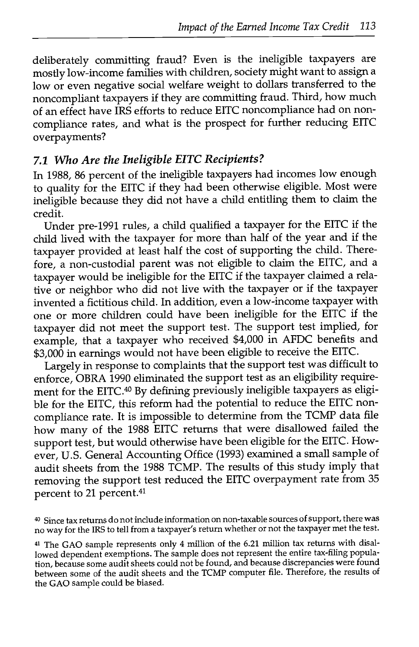deliberately committing fraud? Even is the ineligible taxpayers are mostly low-income families with children, society might want to assign a low or even negative social welfare weight to dollars transferred to the noncompliant taxpayers if they are committing fraud. Third, how much of an effect have IRS efforts to reduce EITC noncompliance had on noncompliance rates, and what is the prospect for further reducing EITC overpayments?

# 7.1 Who Are the Ineligible EITC Recipients?

In 1988, 86 percent of the ineligible taxpayers had incomes low enough to quality for the EITC if they had been otherwise eligible. Most were ineligible because they did not have a child entitling them to claim the credit.

Under pre-1991 rules, a child qualified a taxpayer for the EITC if the child lived with the taxpayer for more than half of the year and if the taxpayer provided at least half the cost of supporting the child. Therefore, a non-custodial parent was not eligible to claim the EITC, and a taxpayer would be ineligible for the EITC if the taxpayer claimed a relative or neighbor who did not live with the taxpayer or if the taxpayer invented a fictitious child. In addition, even a low-income taxpayer with one or more children could have been ineligible for the EITC if the taxpayer did not meet the support test. The support test implied, for example, that a taxpayer who received \$4,000 in AFDC benefits and \$3,000 in earnings would not have been eligible to receive the EITC.

Largely in response to complaints that the support test was difficult to enforce, OBRA 1990 eliminated the support test as an eligibility requirement for the EITC.4° By defining previously ineligible taxpayers as eligible for the EITC, this reform had the potential to reduce the EITC noncompliance rate. It is impossible to determine from the TCMP data file how many of the 1988 EITC returns that were disallowed failed the support test, but would otherwise have been eligible for the EITC. However, U.S. General Accounting Office (1993) examined a small sample of audit sheets from the 1988 TCMP. The results of this study imply that removing the support test reduced the EITC overpayment rate from 35 percent to 21 percent.41

<sup>40</sup> Since tax returns do not include information on non-taxable sources of support, there was no way for the IRS to tell from a taxpayer's return whether or not the taxpayer met the test.

<sup>41</sup> The GAO sample represents only 4 million of the 6.21 million tax returns with disallowed dependent exemptions. The sample does not represent the entire tax-filing population, because some audit sheets could not be found, and because discrepancies were found between some of the audit sheets and the TCMP computer file. Therefore, the results of the GAO sample could be biased.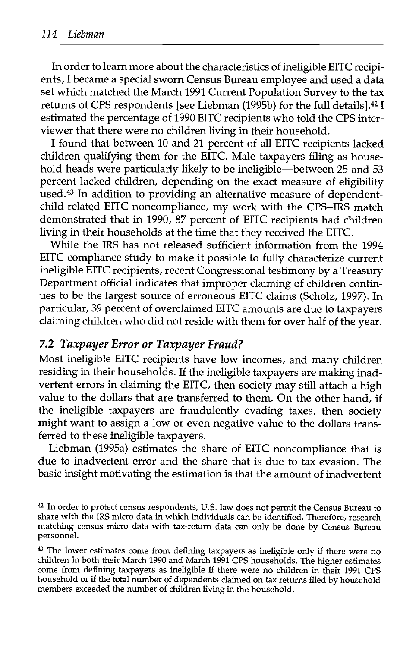In order to learn more about the characteristics of ineligible EITC recipients, I became a special sworn Census Bureau employee and used a data set which matched the March 1991 Current Population Survey to the tax returns of CPS respondents [see Liebman (1995b) for the full details].42 I estimated the percentage of 1990 EITC recipients who told the CPS interviewer that there were no children living in their household.

I found that between 10 and 21 percent of all EITC recipients lacked children qualifying them for the EITC. Male taxpayers ffling as household heads were particularly likely to be ineligible—between 25 and 53 percent lacked children, depending on the exact measure of eligibility used.<sup>43</sup> In addition to providing an alternative measure of dependentchild-related EITC noncompliance, my work with the CPS-IRS match demonstrated that in 1990, 87 percent of EITC recipients had children living in their households at the time that they received the EITC.

While the IRS has not released sufficient information from the 1994 EITC compliance study to make it possible to fully characterize current ineligible EITC recipients, recent Congressional testimony by a Treasury Department official indicates that improper claiming of children continues to be the largest source of erroneous EITC claims (Scholz, 1997). In particular, 39 percent of overclaimed EITC amounts are due to taxpayers claiming children who did not reside with them for over half of the year.

#### 7.2 Taxpayer Error or Taxpayer Fraud?

Most ineligible EITC recipients have low incomes, and many children residing in their households. If the ineligible taxpayers are making inadvertent errors in claiming the EITC, then society may still attach a high value to the dollars that are transferred to them. On the other hand, if the ineligible taxpayers are fraudulently evading taxes, then society might want to assign a low or even negative value to the dollars transferred to these ineligible taxpayers.

Liebman (1995a) estimates the share of EITC noncompliance that is due to inadvertent error and the share that is due to tax evasion. The basic insight motivating the estimation is that the amount of inadvertent

 $42$  In order to protect census respondents, U.S. law does not permit the Census Bureau to share with the IRS micro data in which individuals can be identified. Therefore, research matching census micro data with tax-return data can only be done by Census Bureau personnel.

<sup>&</sup>lt;sup>43</sup> The lower estimates come from defining taxpayers as ineligible only if there were no children in both their March 1990 and March 1991 CPS households. The higher estimates come from defining taxpayers as ineligible if there were no children in their 1991 CPS household or if the total number of dependents claimed on tax returns filed by household members exceeded the number of children living in the household.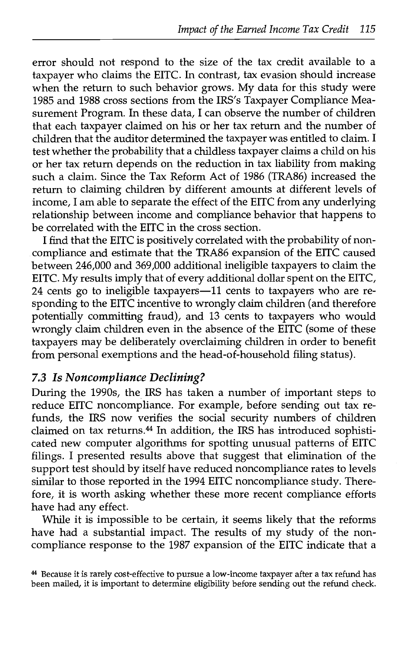error should not respond to the size of the tax credit available to a taxpayer who claims the EITC. In contrast, tax evasion should increase when the return to such behavior grows. My data for this study were 1985 and 1988 cross sections from the IRS's Taxpayer Compliance Measurement Program. In these data, I can observe the number of children that each taxpayer claimed on his or her tax return and the number of children that the auditor determined the taxpayer was entitled to claim. I test whether the probability that a childless taxpayer claims a child on his or her tax return depends on the reduction in tax liability from making such a claim. Since the Tax Reform Act of 1986 (TRA86) increased the return to claiming children by different amounts at different levels of income, I am able to separate the effect of the EITC from any underlying relationship between income and compliance behavior that happens to be correlated with the EITC in the cross section.

I find that the EITC is positively correlated with the probability of noncompliance and estimate that the TRA86 expansion of the EITC caused between 246,000 and 369,000 additional ineligible taxpayers to claim the EITC. My results imply that of every additional dollar spent on the EITC, 24 cents go to ineligible taxpayers—11 cents to taxpayers who are responding to the EITC incentive to wrongly claim children (and therefore potentially committing fraud), and 13 cents to taxpayers who would wrongly claim children even in the absence of the EITC (some of these taxpayers may be deliberately overclaiming children in order to benefit from personal exemptions and the head-of-household filing status).

#### 7.3 Is Noncompliance Declining?

During the 1990s, the IRS has taken a number of important steps to reduce EITC noncompliance. For example, before sending out tax refunds, the IRS now verifies the social security numbers of children claimed on tax returns.<sup>44</sup> In addition, the IRS has introduced sophisticated new computer algorithms for spotting unusual patterns of EITC filings. I presented results above that suggest that elimination of the support test should by itself have reduced noncompliance rates to levels similar to those reported in the 1994 EITC noncompliance study. Therefore, it is worth asking whether these more recent compliance efforts have had any effect.

While it is impossible to be certain, it seems likely that the reforms have had a substantial impact. The results of my study of the noncompliance response to the 1987 expansion of the EITC indicate that a

<sup>44</sup> Because it is rarely cost-effective to pursue a low-income taxpayer after a tax refund has been mailed, it is important to determine eligibility before sending out the refund check.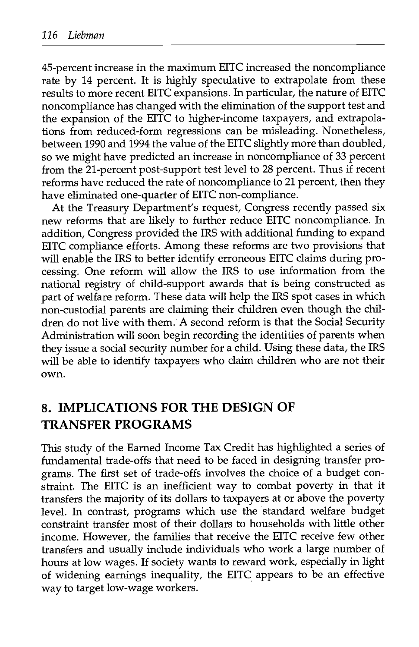45-percent increase in the maximum EITC increased the noncompliance rate by 14 percent. It is highly speculative to extrapolate from these results to more recent EITC expansions. In particular, the nature of EITC noncompliance has changed with the elimination of the support test and the expansion of the EITC to higher-income taxpayers, and extrapolations from reduced-form regressions can be misleading. Nonetheless, between 1990 and 1994 the value of the EITC slightly more than doubled, so we might have predicted an increase in noncompliance of 33 percent from the 21-percent post-support test level to 28 percent. Thus if recent reforms have reduced the rate of noncompliance to 21 percent, then they have eliminated one-quarter of EITC non-compliance.

At the Treasury Department's request, Congress recently passed six new reforms that are likely to further reduce EITC noncompliance. In addition, Congress provided the IRS with additional funding to expand EITC compliance efforts. Among these reforms are two provisions that will enable the IRS to better identify erroneous EITC claims during processing. One reform wifi allow the IRS to use information from the national registry of child-support awards that is being constructed as part of welfare reform. These data will help the IRS spot cases in which non-custodial parents are claiming their children even though the children do not live with them. A second reform is that the Social Security Administration will soon begin recording the identities of parents when they issue a social security number for a child. Using these data, the IRS will be able to identify taxpayers who claim children who are not their own.

# 8. IMPLICATIONS FOR THE DESIGN OF TRANSFER PROGRAMS

This study of the Earned Income Tax Credit has highlighted a series of fundamental trade-offs that need to be faced in designing transfer programs. The first set of trade-offs involves the choice of a budget constraint. The EITC is an inefficient way to combat poverty in that it transfers the majority of its dollars to taxpayers at or above the poverty level. In contrast, programs which use the standard welfare budget constraint transfer most of their dollars to households with little other income. However, the families that receive the EITC receive few other transfers and usually include individuals who work a large number of hours at low wages. If society wants to reward work, especially in light of widening earnings inequality, the EITC appears to be an effective way to target low-wage workers.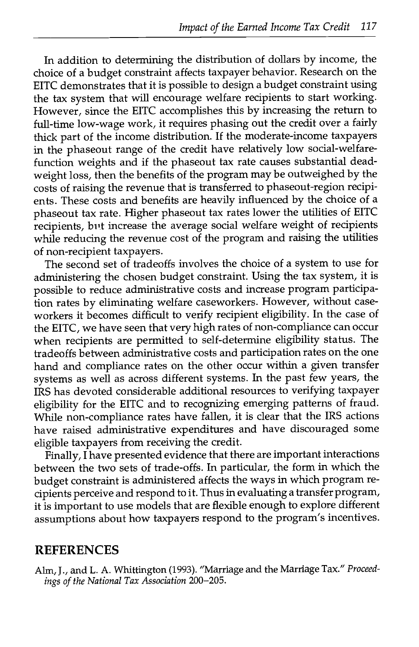In addition to determining the distribution of dollars by income, the choice of a budget constraint affects taxpayer behavior. Research on the EITC demonstrates that it is possible to design a budget constraint using the tax system that will encourage welfare recipients to start working. However, since the EITC accomplishes this by increasing the return to full-time low-wage work, it requires phasing out the credit over a fairly thick part of the income distribution. If the moderate-income taxpayers in the phaseout range of the credit have relatively low social-welfarefunction weights and if the phaseout tax rate causes substantial deadweight loss, then the benefits of the program may be outweighed by the costs of raising the revenue that is transferred to phaseout-region recipients. These costs and benefits are heavily influenced by the choice of a phaseout tax rate. Higher phaseout tax rates lower the utilities of EITC recipients, bit increase the average social welfare weight of recipients while reducing the revenue cost of the program and raising the utilities of non-recipient taxpayers.

The second set of tradeoffs involves the choice of a system to use for administering the chosen budget constraint. Using the tax system, it is possible to reduce administrative costs and increase program participation rates by eliminating welfare caseworkers. However, without caseworkers it becomes difficult to verify recipient eligibility. In the case of the EITC, we have seen that very high rates of non-compliance can occur when recipients are permitted to self-determine eligibility status. The tradeoffs between administrative costs and participation rates on the one hand and compliance rates on the other occur within a given transfer systems as well as across different systems. In the past few years, the IRS has devoted considerable additional resources to verifying taxpayer eligibility for the EITC and to recognizing emerging patterns of fraud. While non-compliance rates have fallen, it is clear that the IRS actions have raised administrative expenditures and have discouraged some eligible taxpayers from receiving the credit.

 $\overline{\text{Finally}}$ , I have presented evidence that there are important interactions between the two sets of trade-offs. In particular, the form in which the budget constraint is administered affects the ways in which program recipients perceive and respond to it. Thus in evaluating a transfer program, it is important to use models that are flexible enough to explore different assumptions about how taxpayers respond to the program's incentives.

# REFERENCES

Alm, J., and L. A. Whittington (1993). "Marriage and the Marriage Tax." Proceedings of the National Tax Association 200-205.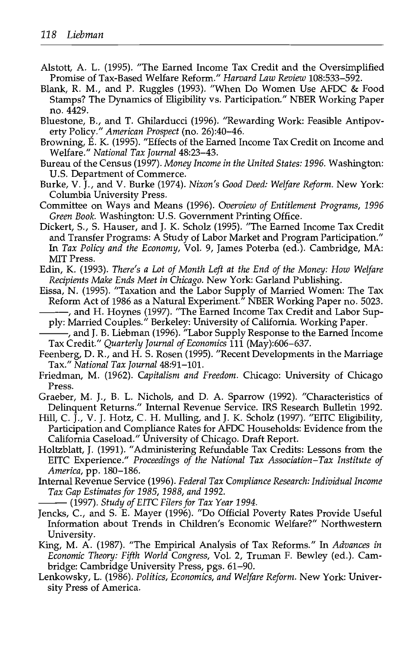- Alstott, A. L. (1995). "The Earned Income Tax Credit and the Oversimplified Promise of Tax-Based Welfare Reform." Harvard Law Review 108:533-592.
- Blank, R. M., and P. Ruggles (1993). "When Do Women Use AFDC & Food Stamps? The Dynamics of Eligibility vs. Participation." NBER Working Paper no. 4429.
- Bluestone, B., and T. Ghilarducci (1996). "Rewarding Work: Feasible Antipoverty Policy." American Prospect (no. 26):40-46.
- Browning, E. K. (1995). "Effects of the Earned Income Tax Credit on Income and Welfare." National Tax Journal 48:23-43.
- Bureau of the Census (1997). Money Income in the United States: 1996. Washington: U.S. Department of Commerce.
- Burke, V. J., and V. Burke (1974). Nixon's Good Deed: Welfare Reform. New York: Columbia University Press.
- Committee on Ways and Means (1996). Overview of Entitlement Programs, 1996 Green Book. Washington: U.S. Government Printing Office.
- Dickert, S., S. Hauser, and J. K. Scholz (1995). "The Earned Income Tax Credit and Transfer Programs: A Study of Labor Market and Program Participation." In Tax Policy and the Economy, Vol. 9, James Poterba (ed.). Cambridge, MA: MIT Press.
- Edin, K. (1993). There's a Lot of Month Left at the End of the Money: How Welfare Recipients Make Ends Meet in Chicago. New York: Garland Publishing.
- Eissa, N. (1995). "Taxation and the Labor Supply of Married Women: The Tax Reform Act of 1986 as a Natural Experiment." NBER Working Paper no. 5023.
- -, and H. Hoynes (1997). "The Earned Income Tax Credit and Labor Supply: Married Couples." Berkeley: University of California. Working Paper.

,and J. B. Liebman (1996). "Labor Supply Response to the Earned Income Tax Credit." Quarterly Journal of Economics 111 (May):606-637.

- Feenberg, D. R., and H. S. Rosen (1995). "Recent Developments in the Marriage Tax." National Tax Journal 48:91-101.
- Friedman, M. (1962). Capitalism and Freedom. Chicago: University of Chicago Press.
- Graeber, M. J., B. L. Nichols, and D. A. Sparrow (1992). "Characteristics of Delinquent Returns." Internal Revenue Service. IRS Research Bulletin 1992.
- Hill, C. J., V. J. Hotz, C. H. Mulling, and J. K. Scholz (1997). "EITC Eligibility, Participation and Compliance Rates for AFDC Households: Evidence from the California Caseload." University of Chicago. Draft Report.
- Holtzblatt, J. (1991). "Administering Refundable Tax Credits: Lessons from the EITC Experience." Proceedings of the National Tax Association-Tax Institute of America, pp. 180-186.
- Internal Revenue Service (1996). Federal Tax Compliance Research: Individual Income Tax Gap Estimates for 1985, 1988, and 1992.
	- (1997). Study of EITC Filers for Tax Year 1994.
- Jencks, C., and S. E. Mayer (1996). "Do Official Poverty Rates Provide Useful Information about Trends in Children's Economic Welfare?" Northwestern University.
- King, M. A. (1987). "The Empirical Analysis of Tax Reforms." In Advances in Economic Theory: Fifth World Congress, Vol. 2, Truman F. Bewley (ed.). Cambridge: Cambridge University Press, pgs. 61-90.
- Lenkowsky, L. (1986). Politics, Economics, and Welfare Reform. New York: University Press of America.